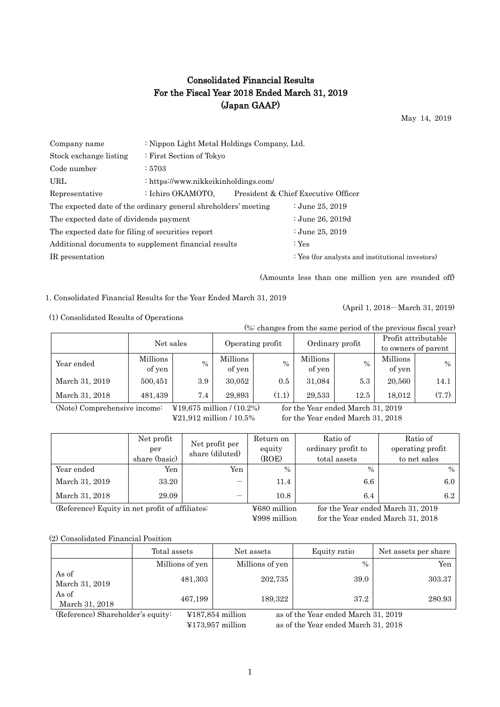# Consolidated Financial Results For the Fiscal Year 2018 Ended March 31, 2019 (Japan GAAP)

May 14, 2019

| Company name                                                   | : Nippon Light Metal Holdings Company, Ltd. |  |                                                  |  |  |  |  |
|----------------------------------------------------------------|---------------------------------------------|--|--------------------------------------------------|--|--|--|--|
| Stock exchange listing                                         | : First Section of Tokyo                    |  |                                                  |  |  |  |  |
| Code number                                                    | :5703                                       |  |                                                  |  |  |  |  |
| URL                                                            | : https://www.nikkeikinholdings.com/        |  |                                                  |  |  |  |  |
| Representative                                                 | : Ichiro OKAMOTO,                           |  | President & Chief Executive Officer              |  |  |  |  |
| The expected date of the ordinary general shreholders' meeting |                                             |  | : June 25, $2019$                                |  |  |  |  |
| The expected date of dividends payment                         |                                             |  | : June 26, 2019d                                 |  |  |  |  |
| The expected date for filing of securities report              |                                             |  | : June 25, 2019                                  |  |  |  |  |
| Additional documents to supplement financial results           |                                             |  | : $Yes$                                          |  |  |  |  |
| IR presentation                                                |                                             |  | : Yes (for analysts and institutional investors) |  |  |  |  |
|                                                                |                                             |  |                                                  |  |  |  |  |

(Amounts less than one million yen are rounded off)

(April 1, 2018-March 31, 2019)

1. Consolidated Financial Results for the Year Ended March 31, 2019

(1) Consolidated Results of Operations

(%: changes from the same period of the previous fiscal year)

|                | Net sales |               | Operating profit |       | Ordinary profit |      | Profit attributable |       |
|----------------|-----------|---------------|------------------|-------|-----------------|------|---------------------|-------|
|                |           |               |                  |       |                 |      | to owners of parent |       |
| Year ended     | Millions  | $\frac{0}{0}$ | Millions         | $\%$  | Millions        | $\%$ | Millions            | $\%$  |
|                | of yen    |               | of yen           |       | of yen          |      | of yen              |       |
| March 31, 2019 | 500,451   | $3.9\,$       | 30,052           | 0.5   | 31,084          | 5.3  | 20,560              | 14.1  |
| March 31, 2018 | 481,439   | 7.4           | 29,893           | (1.1) | 29,533          | 12.5 | 18.012              | (7.7) |

(Note) Comprehensive income:  $\angle$  ¥19,675 million / (10.2%) for the Year ended March 31, 2019

¥21,912 million / 10.5% for the Year ended March 31, 2018

|                | Net profit<br>per<br>share (basic) | Net profit per<br>share (diluted) | Return on<br>equity<br>(ROE) | Ratio of<br>ordinary profit to<br>total assets | Ratio of<br>operating profit<br>to net sales |
|----------------|------------------------------------|-----------------------------------|------------------------------|------------------------------------------------|----------------------------------------------|
| Year ended     | Yen                                | Yen                               | $\frac{0}{0}$                | $\frac{0}{0}$                                  | $\%$                                         |
| March 31, 2019 | 33.20                              |                                   | 11.4                         | $6.6\,$                                        | 6.0                                          |
| March 31, 2018 | 29.09                              | –                                 | 10.8                         | 6.4                                            | 6.2                                          |

(Reference) Equity in net profit of affiliates: ¥680 million for the Year ended March 31, 2019

¥998 million for the Year ended March 31, 2018

(2) Consolidated Financial Position

|                         | Total assets    | Net assets      | Equity ratio  | Net assets per share |
|-------------------------|-----------------|-----------------|---------------|----------------------|
|                         | Millions of yen | Millions of yen | $\frac{0}{0}$ | Yen                  |
| As of<br>March 31, 2019 | 481,303         | 202,735         | 39.0          | 303.37               |
| As of<br>March 31, 2018 | 467,199         | 189,322         | 37.2          | 280.93               |

(Reference) Shareholder's equity: ¥187,854 million as of the Year ended March 31, 2019 ¥173,957 million as of the Year ended March 31, 2018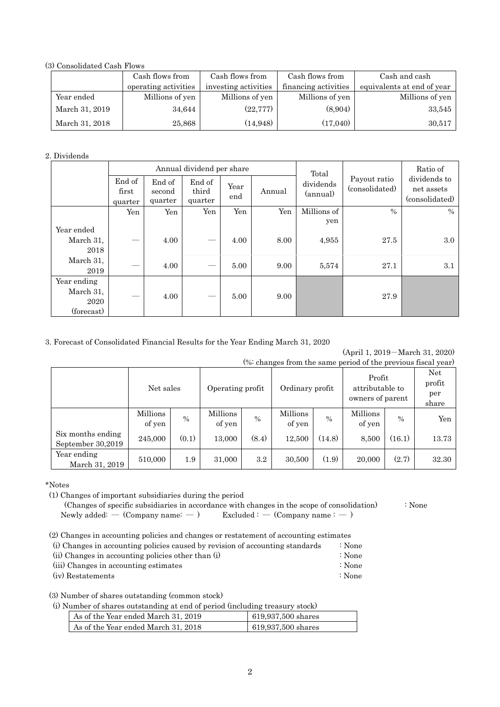(3) Consolidated Cash Flows

|                | Cash flows from      | Cash flows from      | Cash flows from      | Cash and cash              |
|----------------|----------------------|----------------------|----------------------|----------------------------|
|                | operating activities | investing activities | financing activities | equivalents at end of year |
| Year ended     | Millions of yen      | Millions of yen      | Millions of yen      | Millions of yen            |
| March 31, 2019 | 34.644               | (22, 777)            | (8,904)              | 33,545                     |
| March 31, 2018 | 25,868               | (14, 948)            | (17,040)             | 30,517                     |

#### 2. Dividends

|                                                |                            |                             | Annual dividend per share  |             |        | Total                 |                                | Ratio of                                     |
|------------------------------------------------|----------------------------|-----------------------------|----------------------------|-------------|--------|-----------------------|--------------------------------|----------------------------------------------|
|                                                | End of<br>first<br>quarter | End of<br>second<br>quarter | End of<br>third<br>quarter | Year<br>end | Annual | dividends<br>(annual) | Payout ratio<br>(consolidated) | dividends to<br>net assets<br>(consolidated) |
|                                                | Yen                        | Yen                         | Yen                        | Yen         | Yen    | Millions of           | $\frac{0}{0}$                  | $\%$                                         |
| Year ended<br>March 31,<br>2018                |                            | 4.00                        |                            | 4.00        | 8.00   | yen<br>4,955          | 27.5                           | 3.0                                          |
| March 31,<br>2019                              | __                         | 4.00                        |                            | 5.00        | 9.00   | 5,574                 | 27.1                           | 3.1                                          |
| Year ending<br>March 31,<br>2020<br>(forecast) |                            | 4.00                        |                            | 5.00        | 9.00   |                       | 27.9                           |                                              |

## 3. Forecast of Consolidated Financial Results for the Year Ending March 31, 2020

(April 1, 2019-March 31, 2020)

|  |  |  | (%: changes from the same period of the previous fiscal year) |  |
|--|--|--|---------------------------------------------------------------|--|
|  |  |  |                                                               |  |

|                                        | Net sales          |               | Operating profit   |               | Ordinary profit    |               | Profit<br>attributable to<br>owners of parent |               | Net.<br>profit<br>per<br>share |
|----------------------------------------|--------------------|---------------|--------------------|---------------|--------------------|---------------|-----------------------------------------------|---------------|--------------------------------|
|                                        | Millions<br>of yen | $\frac{0}{0}$ | Millions<br>of yen | $\frac{0}{0}$ | Millions<br>of yen | $\frac{0}{0}$ | Millions<br>of yen                            | $\frac{0}{0}$ | Yen                            |
| Six months ending<br>September 30,2019 | 245,000            | (0.1)         | 13,000             | (8.4)         | 12,500             | (14.8)        | 8,500                                         | (16.1)        | 13.73                          |
| Year ending<br>March 31, 2019          | 510,000            | 1.9           | 31,000             | $3.2\,$       | 30,500             | (1.9)         | 20,000                                        | (2.7)         | 32.30                          |

\*Notes

(1) Changes of important subsidiaries during the period

 (Changes of specific subsidiaries in accordance with changes in the scope of consolidation) : None Newly added: — (Company name:  $-$  ) Excluded :  $-$  (Company name :  $-$  )

(2) Changes in accounting policies and changes or restatement of accounting estimates

| (i) Changes in accounting policies caused by revision of accounting standards | : None |
|-------------------------------------------------------------------------------|--------|
| (ii) Changes in accounting policies other than (i)                            | : None |
| (iii) Changes in accounting estimates                                         | : None |
| (iv) Restatements                                                             | : None |

(3) Number of shares outstanding (common stock)

(i) Number of shares outstanding at end of period (including treasury stock)

| As of the Year ended March 31, 2019 | 619,937,500 shares   |
|-------------------------------------|----------------------|
| As of the Year ended March 31, 2018 | $619,937,500$ shares |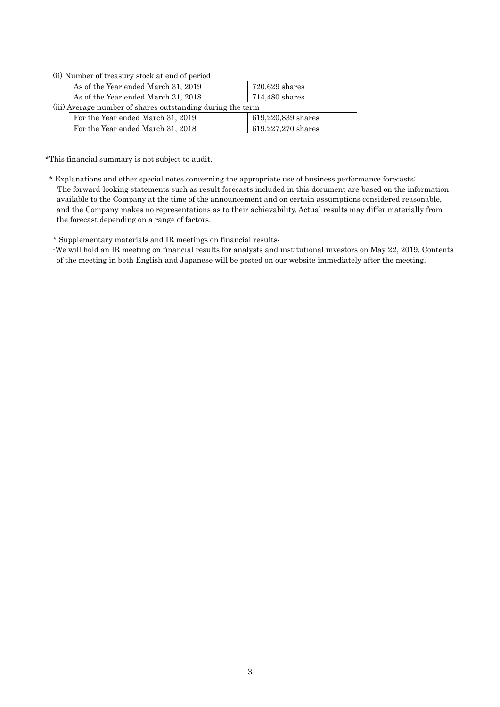(ii) Number of treasury stock at end of period

| As of the Year ended March 31, 2019                        | $720,629$ shares   |  |  |  |  |  |
|------------------------------------------------------------|--------------------|--|--|--|--|--|
| As of the Year ended March 31, 2018                        | 714,480 shares     |  |  |  |  |  |
| (iii) Average number of shares outstanding during the term |                    |  |  |  |  |  |
| For the Year ended March 31, 2019                          | 619,220,839 shares |  |  |  |  |  |
| For the Year ended March 31, 2018                          | 619,227,270 shares |  |  |  |  |  |

\*This financial summary is not subject to audit.

\* Explanations and other special notes concerning the appropriate use of business performance forecasts:

- The forward-looking statements such as result forecasts included in this document are based on the information available to the Company at the time of the announcement and on certain assumptions considered reasonable, and the Company makes no representations as to their achievability. Actual results may differ materially from the forecast depending on a range of factors.

\* Supplementary materials and IR meetings on financial results:

-We will hold an IR meeting on financial results for analysts and institutional investors on May 22, 2019. Contents of the meeting in both English and Japanese will be posted on our website immediately after the meeting.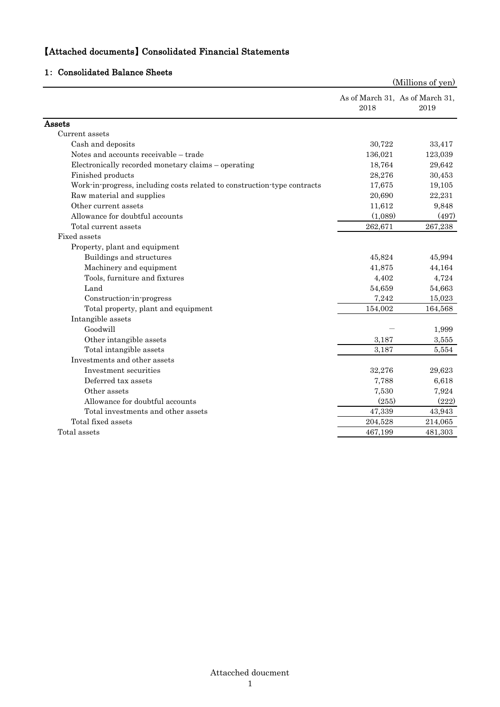# 【Attached documents】 Consolidated Financial Statements

## 1: Consolidated Balance Sheets

|                                                                          |         | (Millions of yen)                       |
|--------------------------------------------------------------------------|---------|-----------------------------------------|
|                                                                          | 2018    | As of March 31, As of March 31,<br>2019 |
| Assets                                                                   |         |                                         |
| Current assets                                                           |         |                                         |
| Cash and deposits                                                        | 30,722  | 33,417                                  |
| Notes and accounts receivable - trade                                    | 136,021 | 123,039                                 |
| Electronically recorded monetary claims - operating                      | 18,764  | 29,642                                  |
| Finished products                                                        | 28,276  | 30,453                                  |
| Work-in-progress, including costs related to construction-type contracts | 17,675  | 19,105                                  |
| Raw material and supplies                                                | 20,690  | 22,231                                  |
| Other current assets                                                     | 11,612  | 9,848                                   |
| Allowance for doubtful accounts                                          | (1,089) | (497)                                   |
| Total current assets                                                     | 262,671 | 267,238                                 |
| Fixed assets                                                             |         |                                         |
| Property, plant and equipment                                            |         |                                         |
| Buildings and structures                                                 | 45,824  | 45,994                                  |
| Machinery and equipment                                                  | 41,875  | 44,164                                  |
| Tools, furniture and fixtures                                            | 4,402   | 4,724                                   |
| Land                                                                     | 54,659  | 54,663                                  |
| Construction-in-progress                                                 | 7,242   | 15,023                                  |
| Total property, plant and equipment                                      | 154,002 | 164,568                                 |
| Intangible assets                                                        |         |                                         |
| Goodwill                                                                 |         | 1,999                                   |
| Other intangible assets                                                  | 3,187   | 3,555                                   |
| Total intangible assets                                                  | 3,187   | 5,554                                   |
| Investments and other assets                                             |         |                                         |
| Investment securities                                                    | 32,276  | 29,623                                  |
| Deferred tax assets                                                      | 7,788   | 6,618                                   |
| Other assets                                                             | 7,530   | 7,924                                   |
| Allowance for doubtful accounts                                          | (255)   | (222)                                   |
| Total investments and other assets                                       | 47,339  | 43,943                                  |
| Total fixed assets                                                       | 204,528 | 214,065                                 |
| Total assets                                                             | 467,199 | 481,303                                 |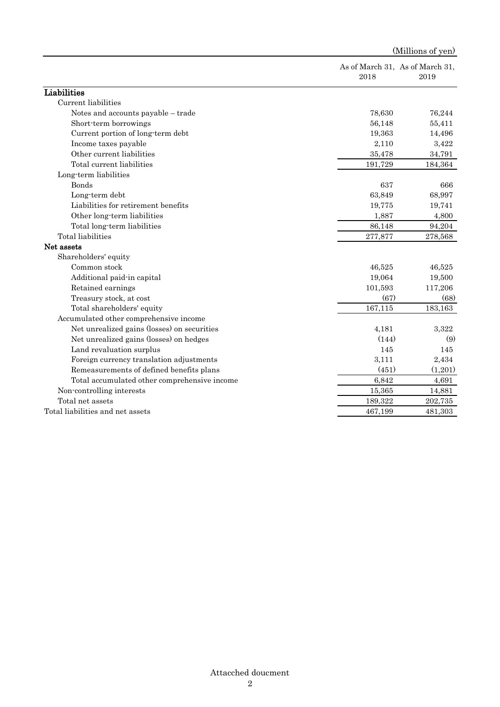|                                              |         | (Millions of yen)                       |  |  |
|----------------------------------------------|---------|-----------------------------------------|--|--|
|                                              | 2018    | As of March 31, As of March 31,<br>2019 |  |  |
| Liabilities                                  |         |                                         |  |  |
| Current liabilities                          |         |                                         |  |  |
| Notes and accounts payable – trade           | 78,630  | 76,244                                  |  |  |
| Short-term borrowings                        | 56,148  | 55,411                                  |  |  |
| Current portion of long-term debt            | 19,363  | 14,496                                  |  |  |
| Income taxes payable                         | 2,110   | 3,422                                   |  |  |
| Other current liabilities                    | 35,478  | 34,791                                  |  |  |
| Total current liabilities                    | 191,729 | 184,364                                 |  |  |
| Long-term liabilities                        |         |                                         |  |  |
| <b>Bonds</b>                                 | 637     | 666                                     |  |  |
| Long-term debt                               | 63,849  | 68,997                                  |  |  |
| Liabilities for retirement benefits          | 19,775  | 19,741                                  |  |  |
| Other long-term liabilities                  | 1,887   | 4,800                                   |  |  |
| Total long-term liabilities                  | 86,148  | 94,204                                  |  |  |
| <b>Total</b> liabilities                     | 277,877 | 278,568                                 |  |  |
| Net assets                                   |         |                                         |  |  |
| Shareholders' equity                         |         |                                         |  |  |
| Common stock                                 | 46,525  | 46,525                                  |  |  |
| Additional paid-in capital                   | 19,064  | 19,500                                  |  |  |
| Retained earnings                            | 101,593 | 117,206                                 |  |  |
| Treasury stock, at cost                      | (67)    | (68)                                    |  |  |
| Total shareholders' equity                   | 167,115 | 183,163                                 |  |  |
| Accumulated other comprehensive income       |         |                                         |  |  |
| Net unrealized gains (losses) on securities  | 4,181   | 3,322                                   |  |  |
| Net unrealized gains (losses) on hedges      | (144)   | (9)                                     |  |  |
| Land revaluation surplus                     | 145     | 145                                     |  |  |
| Foreign currency translation adjustments     | 3,111   | 2,434                                   |  |  |
| Remeasurements of defined benefits plans     | (451)   | (1,201)                                 |  |  |
| Total accumulated other comprehensive income | 6,842   | 4,691                                   |  |  |
| Non-controlling interests                    | 15,365  | 14,881                                  |  |  |
| Total net assets                             | 189,322 | 202,735                                 |  |  |
| Total liabilities and net assets             | 467,199 | 481,303                                 |  |  |
|                                              |         |                                         |  |  |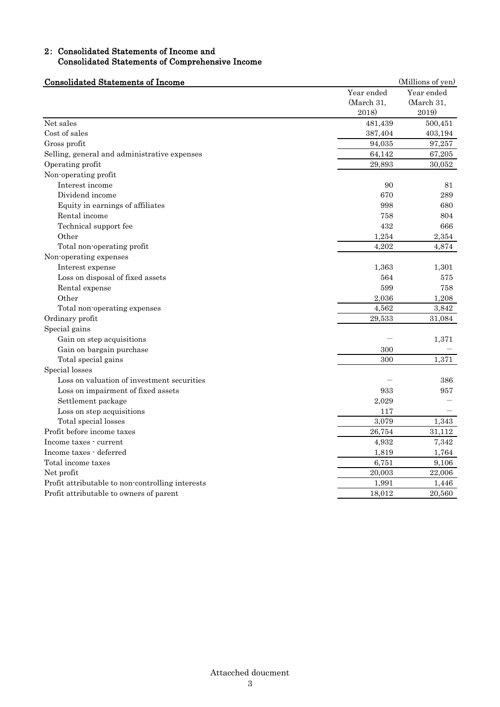## 2: Consolidated Statements of Income and Consolidated Statements of Comprehensive Income

| <b>Consolidated Statements of Income</b>         | (Millions of yen)                 |                                   |
|--------------------------------------------------|-----------------------------------|-----------------------------------|
|                                                  | Year ended<br>(March 31,<br>2018) | Year ended<br>(March 31,<br>2019) |
| Net sales                                        | 481,439                           | 500,451                           |
| Cost of sales                                    | 387,404                           | 403,194                           |
| Gross profit                                     | 94,035                            | 97,257                            |
| Selling, general and administrative expenses     | 64,142                            | 67,205                            |
| Operating profit                                 | 29,893                            | 30,052                            |
| Non-operating profit                             |                                   |                                   |
| Interest income                                  | 90                                | 81                                |
| Dividend income                                  | 670                               | 289                               |
| Equity in earnings of affiliates                 | 998                               | 680                               |
| Rental income                                    | 758                               | 804                               |
| Technical support fee                            | 432                               | 666                               |
| Other                                            | 1,254                             | 2,354                             |
| Total non-operating profit                       | 4,202                             | 4,874                             |
| Non-operating expenses                           |                                   |                                   |
| Interest expense                                 | 1,363                             | 1,301                             |
| Loss on disposal of fixed assets                 | 564                               | 575                               |
| Rental expense                                   | 599                               | 758                               |
| Other                                            | 2,036                             | 1,208                             |
| Total non-operating expenses                     | 4,562                             | 3,842                             |
| Ordinary profit                                  | 29,533                            | 31,084                            |
| Special gains                                    |                                   |                                   |
| Gain on step acquisitions                        |                                   | 1,371                             |
| Gain on bargain purchase                         | 300                               |                                   |
| Total special gains                              | 300                               | 1,371                             |
| Special losses                                   |                                   |                                   |
| Loss on valuation of investment securities       |                                   | 386                               |
| Loss on impairment of fixed assets               | 933                               | 957                               |
| Settlement package                               | 2,029                             |                                   |
| Loss on step acquisitions                        | 117                               |                                   |
| Total special losses                             | 3,079                             | 1,343                             |
| Profit before income taxes                       | 26,754                            | 31,112                            |
| Income taxes - current                           | 4,932                             | 7,342                             |
| Income taxes - deferred                          | 1,819                             | 1,764                             |
| Total income taxes                               | 6,751                             | 9,106                             |
| Net profit                                       | 20,003                            | 22,006                            |
| Profit attributable to non-controlling interests | 1,991                             | 1,446                             |
| Profit attributable to owners of parent          | 18,012                            | 20,560                            |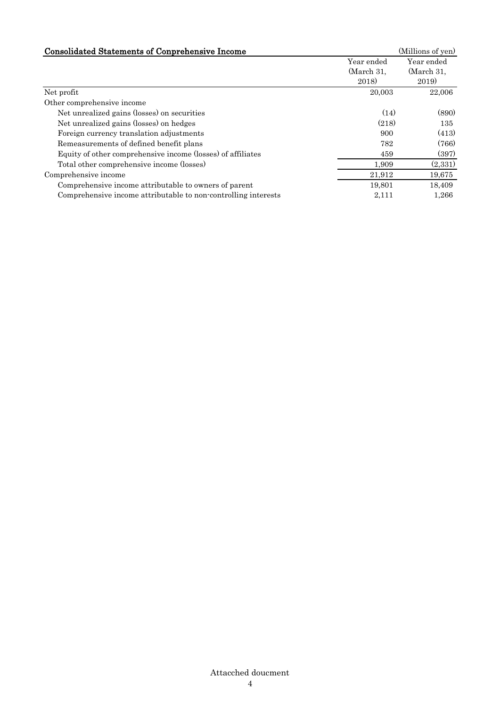| <b>Consolidated Statements of Conprehensive Income</b>         |                                   | (Millions of yen)                 |
|----------------------------------------------------------------|-----------------------------------|-----------------------------------|
|                                                                | Year ended<br>(March 31,<br>2018) | Year ended<br>(March 31,<br>2019) |
| Net profit                                                     | 20,003                            | 22,006                            |
| Other comprehensive income                                     |                                   |                                   |
| Net unrealized gains (losses) on securities                    | (14)                              | (890)                             |
| Net unrealized gains (losses) on hedges                        | (218)                             | 135                               |
| Foreign currency translation adjustments                       | 900                               | (413)                             |
| Remeasurements of defined benefit plans                        | 782                               | (766)                             |
| Equity of other comprehensive income (losses) of affiliates    | 459                               | (397)                             |
| Total other comprehensive income (losses)                      | 1,909                             | (2,331)                           |
| Comprehensive income                                           | 21,912                            | 19,675                            |
| Comprehensive income attributable to owners of parent          | 19,801                            | 18,409                            |
| Comprehensive income attributable to non-controlling interests | 2,111                             | 1,266                             |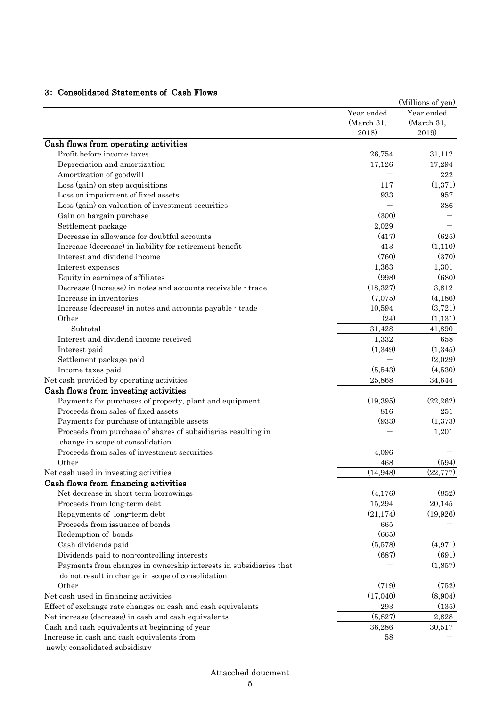## 3: Consolidated Statements of Cash Flows

|                                                                   |                                   | (Millions of yen)                 |
|-------------------------------------------------------------------|-----------------------------------|-----------------------------------|
|                                                                   | Year ended<br>(March 31,<br>2018) | Year ended<br>(March 31,<br>2019) |
|                                                                   |                                   |                                   |
|                                                                   |                                   |                                   |
| Cash flows from operating activities                              |                                   |                                   |
| Profit before income taxes                                        | 26,754                            | 31,112                            |
| Depreciation and amortization                                     | 17,126                            | 17,294                            |
| Amortization of goodwill                                          |                                   | $222\,$                           |
| Loss (gain) on step acquisitions                                  | 117                               | (1,371)                           |
| Loss on impairment of fixed assets                                | 933                               | 957                               |
| Loss (gain) on valuation of investment securities                 |                                   | 386                               |
| Gain on bargain purchase                                          | (300)                             |                                   |
| Settlement package                                                | 2,029                             |                                   |
| Decrease in allowance for doubtful accounts                       | (417)                             | (625)                             |
| Increase (decrease) in liability for retirement benefit           | 413                               | (1,110)                           |
| Interest and dividend income                                      | (760)                             | (370)                             |
| Interest expenses                                                 | 1,363                             | 1,301                             |
| Equity in earnings of affiliates                                  | (998)                             | (680)                             |
| Decrease (Increase) in notes and accounts receivable - trade      | (18, 327)                         | 3,812                             |
| Increase in inventories                                           | (7,075)                           | (4, 186)                          |
| Increase (decrease) in notes and accounts payable - trade         | 10,594                            | (3,721)                           |
| Other                                                             | (24)                              | (1,131)                           |
| Subtotal                                                          | 31,428                            | 41,890                            |
| Interest and dividend income received                             | 1,332                             | 658                               |
| Interest paid                                                     | (1,349)                           | (1,345)                           |
| Settlement package paid                                           |                                   | (2,029)                           |
| Income taxes paid                                                 | (5,543)                           | (4,530)                           |
| Net cash provided by operating activities                         | 25,868                            | 34,644                            |
| Cash flows from investing activities                              |                                   |                                   |
| Payments for purchases of property, plant and equipment           | (19,395)                          | (22, 262)                         |
| Proceeds from sales of fixed assets                               | 816                               | 251                               |
| Payments for purchase of intangible assets                        | (933)                             | (1,373)                           |
| Proceeds from purchase of shares of subsidiaries resulting in     |                                   | 1,201                             |
| change in scope of consolidation                                  |                                   |                                   |
| Proceeds from sales of investment securities                      | 4,096                             |                                   |
| Other                                                             | 468                               | (594)                             |
| Net cash used in investing activities                             | (14, 948)                         | (22, 777)                         |
| Cash flows from financing activities                              |                                   |                                   |
| Net decrease in short-term borrowings                             | (4,176)                           | (852)                             |
| Proceeds from long-term debt                                      | 15,294                            | 20,145                            |
| Repayments of long-term debt                                      | (21, 174)                         | (19,926)                          |
| Proceeds from issuance of bonds                                   | 665                               |                                   |
| Redemption of bonds                                               | (665)                             |                                   |
| Cash dividends paid                                               | (5,578)                           | (4,971)                           |
| Dividends paid to non-controlling interests                       | (687)                             | (691)                             |
| Payments from changes in ownership interests in subsidiaries that |                                   | (1,857)                           |
| do not result in change in scope of consolidation                 |                                   |                                   |
| Other                                                             | (719)                             | (752)                             |
| Net cash used in financing activities                             | (17,040)                          | (8,904)                           |
| Effect of exchange rate changes on cash and cash equivalents      | 293                               | (135)                             |
| Net increase (decrease) in cash and cash equivalents              | (5,827)                           | 2,828                             |
| Cash and cash equivalents at beginning of year                    | 36,286                            | 30,517                            |
| Increase in cash and cash equivalents from                        | 58                                |                                   |
| newly consolidated subsidiary                                     |                                   |                                   |